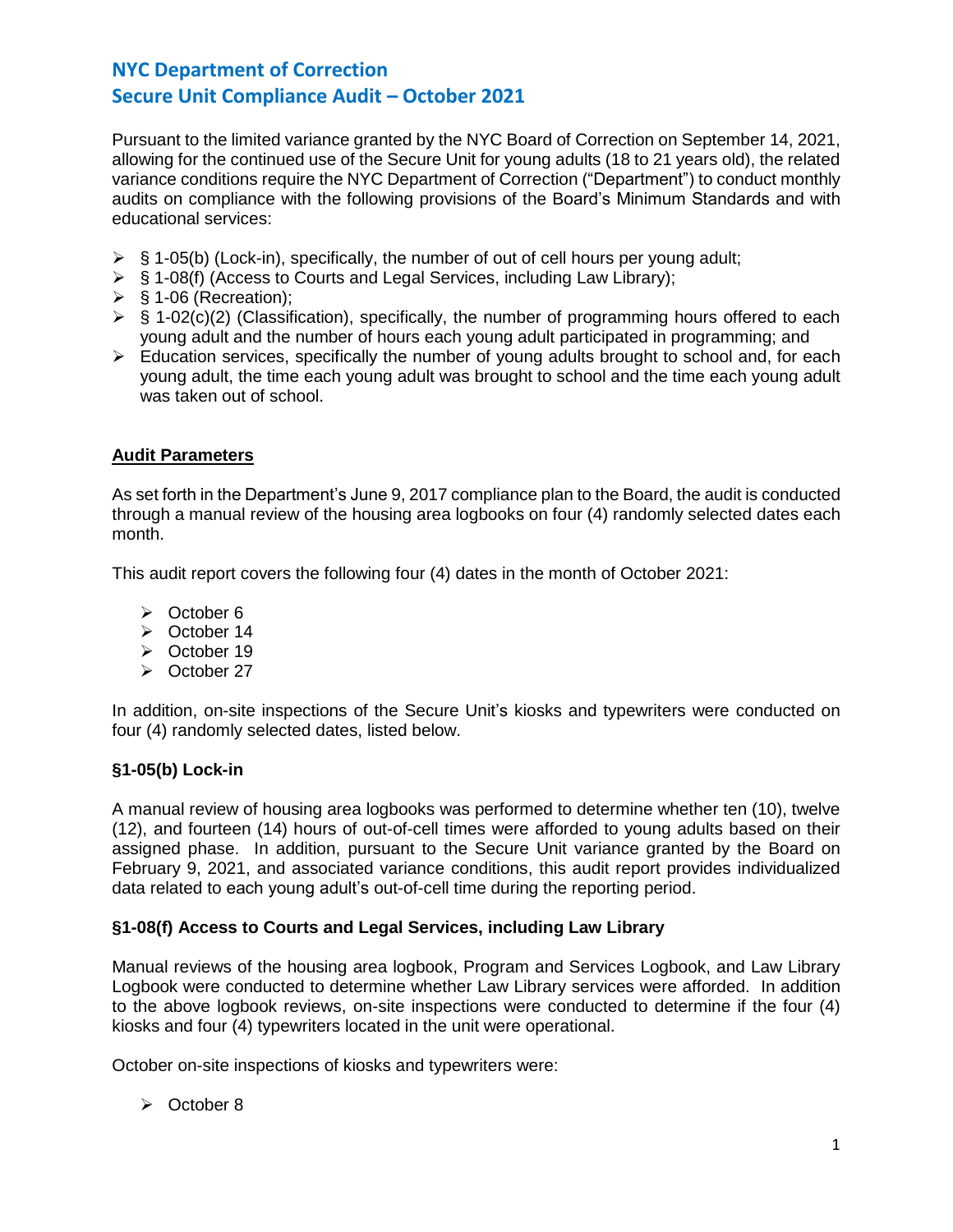Pursuant to the limited variance granted by the NYC Board of Correction on September 14, 2021, allowing for the continued use of the Secure Unit for young adults (18 to 21 years old), the related variance conditions require the NYC Department of Correction ("Department") to conduct monthly audits on compliance with the following provisions of the Board's Minimum Standards and with educational services:

- $\triangleright$  § 1-05(b) (Lock-in), specifically, the number of out of cell hours per young adult;
- ➢ § 1-08(f) (Access to Courts and Legal Services, including Law Library);
- $\triangleright$  § 1-06 (Recreation);
- $\triangleright$  § 1-02(c)(2) (Classification), specifically, the number of programming hours offered to each young adult and the number of hours each young adult participated in programming; and
- $\triangleright$  Education services, specifically the number of young adults brought to school and, for each young adult, the time each young adult was brought to school and the time each young adult was taken out of school.

# **Audit Parameters**

As set forth in the Department's June 9, 2017 compliance plan to the Board, the audit is conducted through a manual review of the housing area logbooks on four (4) randomly selected dates each month.

This audit report covers the following four (4) dates in the month of October 2021:

- ➢ October 6
- ➢ October 14
- ➢ October 19
- ➢ October 27

In addition, on-site inspections of the Secure Unit's kiosks and typewriters were conducted on four (4) randomly selected dates, listed below.

# **§1-05(b) Lock-in**

A manual review of housing area logbooks was performed to determine whether ten (10), twelve (12), and fourteen (14) hours of out-of-cell times were afforded to young adults based on their assigned phase. In addition, pursuant to the Secure Unit variance granted by the Board on February 9, 2021, and associated variance conditions, this audit report provides individualized data related to each young adult's out-of-cell time during the reporting period.

# **§1-08(f) Access to Courts and Legal Services, including Law Library**

Manual reviews of the housing area logbook, Program and Services Logbook, and Law Library Logbook were conducted to determine whether Law Library services were afforded. In addition to the above logbook reviews, on-site inspections were conducted to determine if the four (4) kiosks and four (4) typewriters located in the unit were operational.

October on-site inspections of kiosks and typewriters were:

➢ October 8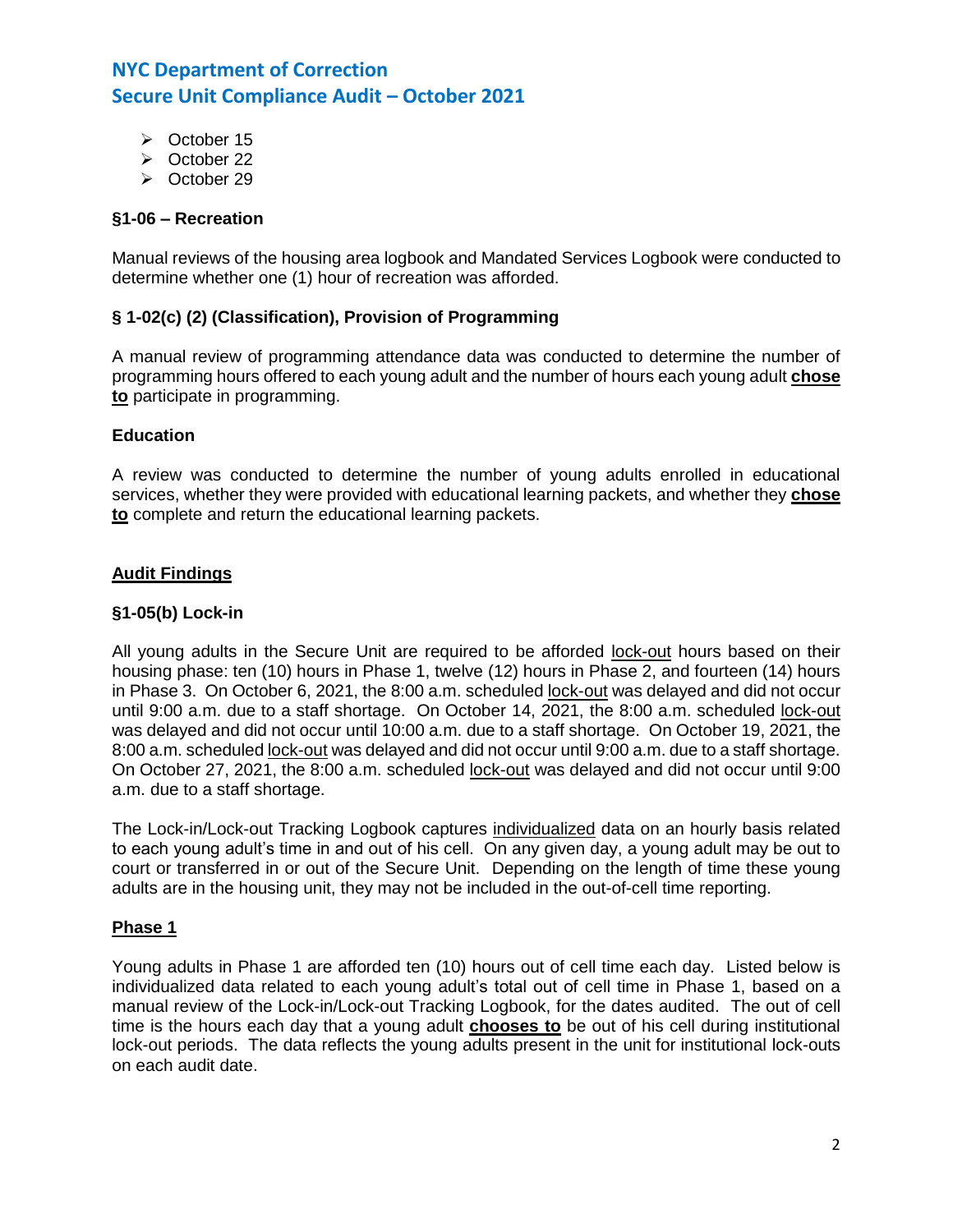- ➢ October 15
- ➢ October 22
- ➢ October 29

### **§1-06 – Recreation**

Manual reviews of the housing area logbook and Mandated Services Logbook were conducted to determine whether one (1) hour of recreation was afforded.

# **§ 1-02(c) (2) (Classification), Provision of Programming**

A manual review of programming attendance data was conducted to determine the number of programming hours offered to each young adult and the number of hours each young adult **chose to** participate in programming.

#### **Education**

A review was conducted to determine the number of young adults enrolled in educational services, whether they were provided with educational learning packets, and whether they **chose to** complete and return the educational learning packets.

#### **Audit Findings**

#### **§1-05(b) Lock-in**

All young adults in the Secure Unit are required to be afforded lock-out hours based on their housing phase: ten (10) hours in Phase 1, twelve (12) hours in Phase 2, and fourteen (14) hours in Phase 3. On October 6, 2021, the 8:00 a.m. scheduled lock-out was delayed and did not occur until 9:00 a.m. due to a staff shortage. On October 14, 2021, the 8:00 a.m. scheduled lock-out was delayed and did not occur until 10:00 a.m. due to a staff shortage. On October 19, 2021, the 8:00 a.m. scheduled lock-out was delayed and did not occur until 9:00 a.m. due to a staff shortage. On October 27, 2021, the 8:00 a.m. scheduled lock-out was delayed and did not occur until 9:00 a.m. due to a staff shortage.

The Lock-in/Lock-out Tracking Logbook captures individualized data on an hourly basis related to each young adult's time in and out of his cell. On any given day, a young adult may be out to court or transferred in or out of the Secure Unit. Depending on the length of time these young adults are in the housing unit, they may not be included in the out-of-cell time reporting.

#### **Phase 1**

Young adults in Phase 1 are afforded ten (10) hours out of cell time each day. Listed below is individualized data related to each young adult's total out of cell time in Phase 1, based on a manual review of the Lock-in/Lock-out Tracking Logbook, for the dates audited. The out of cell time is the hours each day that a young adult **chooses to** be out of his cell during institutional lock-out periods. The data reflects the young adults present in the unit for institutional lock-outs on each audit date.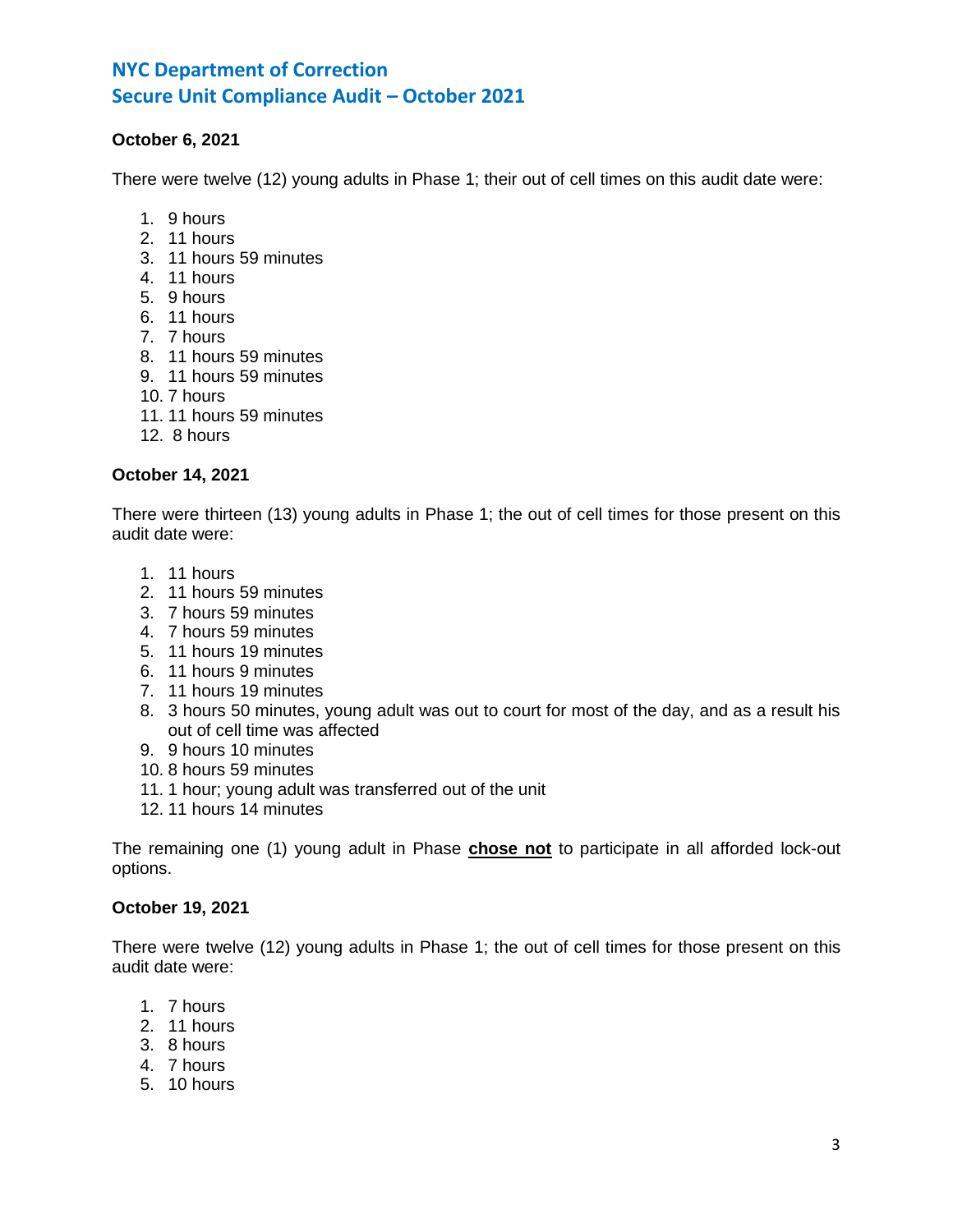# **October 6, 2021**

There were twelve (12) young adults in Phase 1; their out of cell times on this audit date were:

- 1. 9 hours
- 2. 11 hours
- 3. 11 hours 59 minutes
- 4. 11 hours
- 5. 9 hours
- 6. 11 hours
- 7. 7 hours
- 8. 11 hours 59 minutes
- 9. 11 hours 59 minutes
- 10. 7 hours
- 11. 11 hours 59 minutes
- 12. 8 hours

### **October 14, 2021**

There were thirteen (13) young adults in Phase 1; the out of cell times for those present on this audit date were:

- 1. 11 hours
- 2. 11 hours 59 minutes
- 3. 7 hours 59 minutes
- 4. 7 hours 59 minutes
- 5. 11 hours 19 minutes
- 6. 11 hours 9 minutes
- 7. 11 hours 19 minutes
- 8. 3 hours 50 minutes, young adult was out to court for most of the day, and as a result his out of cell time was affected
- 9. 9 hours 10 minutes
- 10. 8 hours 59 minutes
- 11. 1 hour; young adult was transferred out of the unit
- 12. 11 hours 14 minutes

The remaining one (1) young adult in Phase **chose not** to participate in all afforded lock-out options.

### **October 19, 2021**

There were twelve (12) young adults in Phase 1; the out of cell times for those present on this audit date were:

- 1. 7 hours
- 2. 11 hours
- 3. 8 hours
- 4. 7 hours
- 5. 10 hours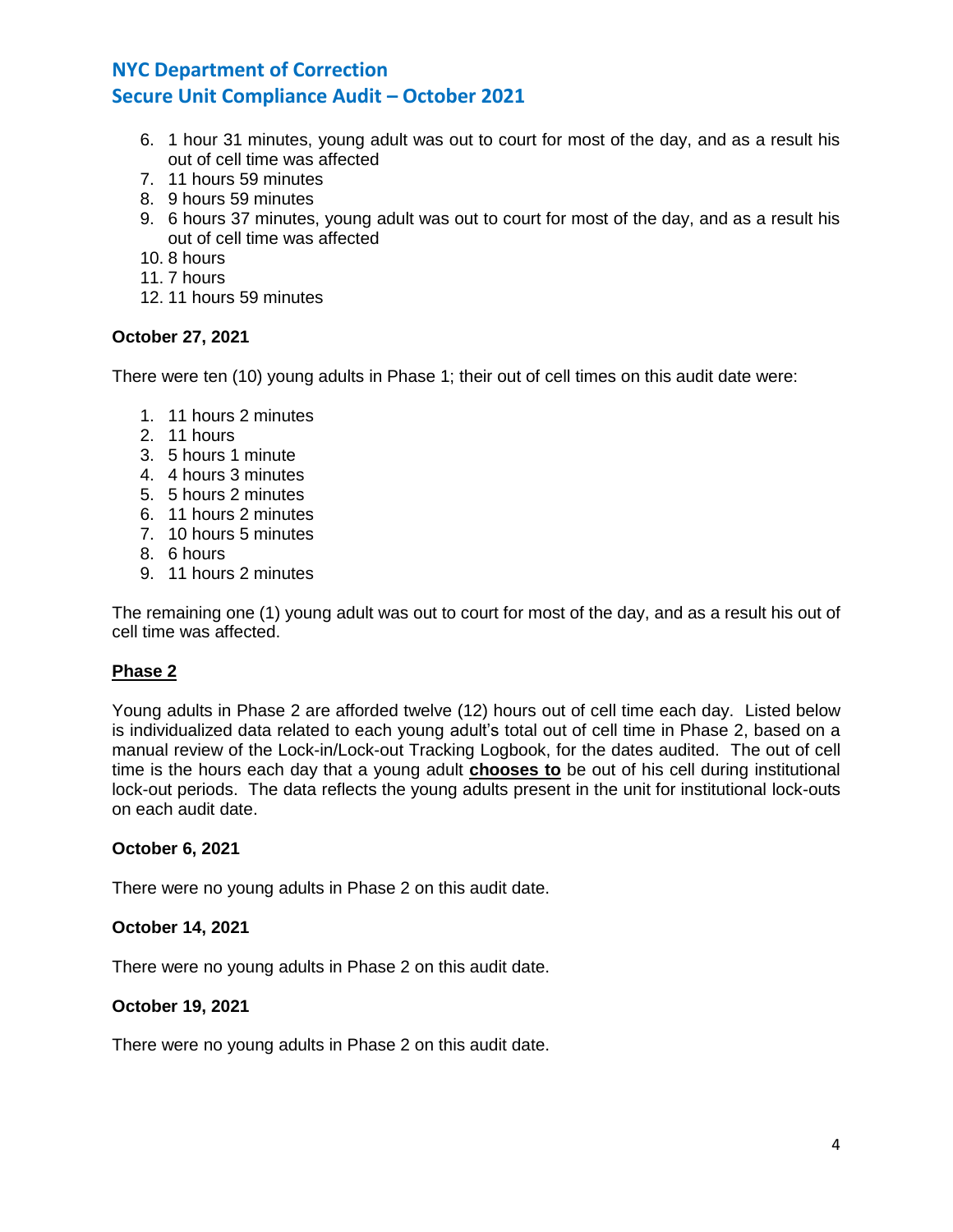- 6. 1 hour 31 minutes, young adult was out to court for most of the day, and as a result his out of cell time was affected
- 7. 11 hours 59 minutes
- 8. 9 hours 59 minutes
- 9. 6 hours 37 minutes, young adult was out to court for most of the day, and as a result his out of cell time was affected
- 10. 8 hours
- 11. 7 hours
- 12. 11 hours 59 minutes

# **October 27, 2021**

There were ten (10) young adults in Phase 1; their out of cell times on this audit date were:

- 1. 11 hours 2 minutes
- 2. 11 hours
- 3. 5 hours 1 minute
- 4. 4 hours 3 minutes
- 5. 5 hours 2 minutes
- 6. 11 hours 2 minutes
- 7. 10 hours 5 minutes
- 8. 6 hours
- 9. 11 hours 2 minutes

The remaining one (1) young adult was out to court for most of the day, and as a result his out of cell time was affected.

# **Phase 2**

Young adults in Phase 2 are afforded twelve (12) hours out of cell time each day. Listed below is individualized data related to each young adult's total out of cell time in Phase 2, based on a manual review of the Lock-in/Lock-out Tracking Logbook, for the dates audited. The out of cell time is the hours each day that a young adult **chooses to** be out of his cell during institutional lock-out periods. The data reflects the young adults present in the unit for institutional lock-outs on each audit date.

### **October 6, 2021**

There were no young adults in Phase 2 on this audit date.

#### **October 14, 2021**

There were no young adults in Phase 2 on this audit date.

#### **October 19, 2021**

There were no young adults in Phase 2 on this audit date.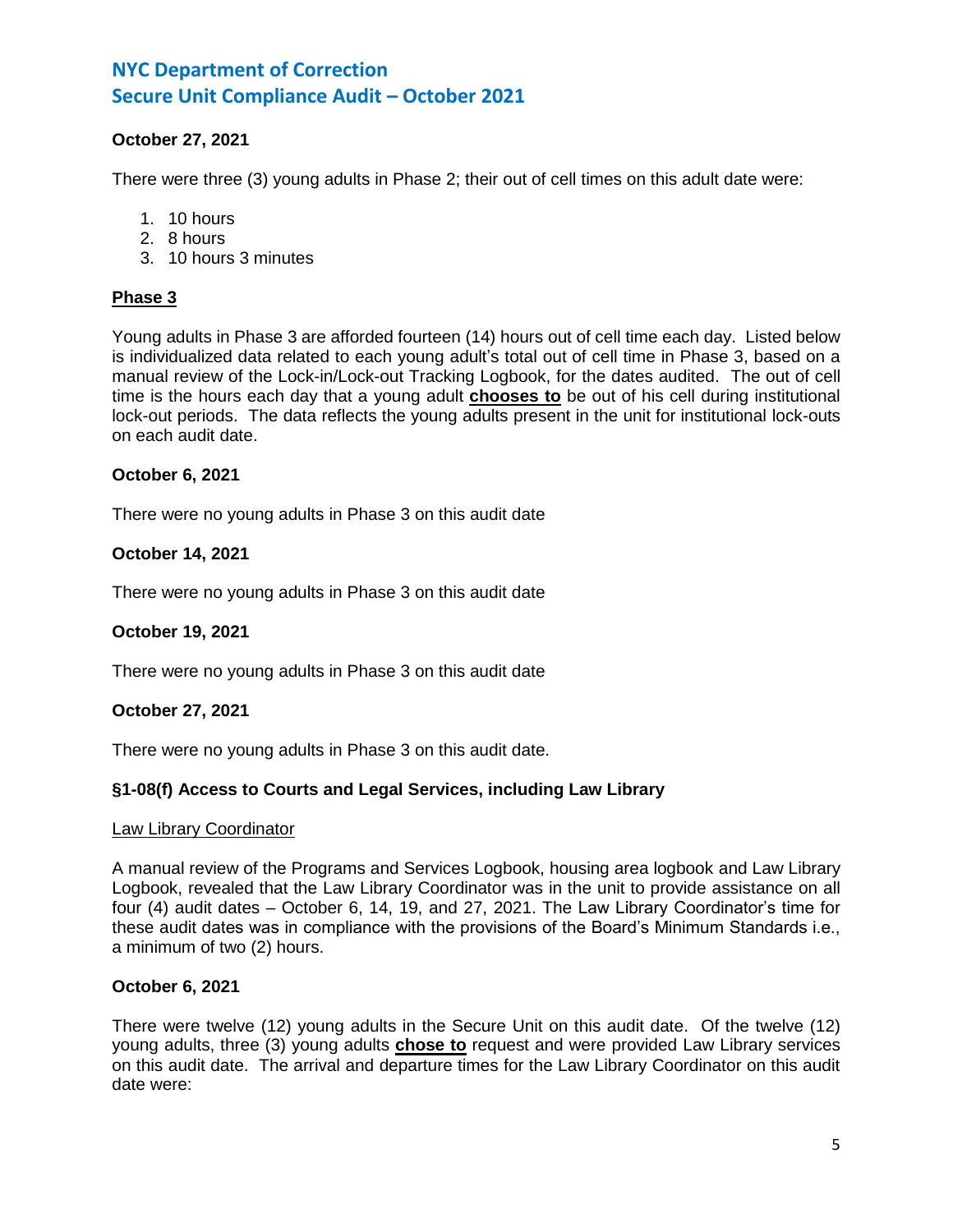# **October 27, 2021**

There were three (3) young adults in Phase 2; their out of cell times on this adult date were:

- 1. 10 hours
- 2. 8 hours
- 3. 10 hours 3 minutes

### **Phase 3**

Young adults in Phase 3 are afforded fourteen (14) hours out of cell time each day. Listed below is individualized data related to each young adult's total out of cell time in Phase 3, based on a manual review of the Lock-in/Lock-out Tracking Logbook, for the dates audited. The out of cell time is the hours each day that a young adult **chooses to** be out of his cell during institutional lock-out periods. The data reflects the young adults present in the unit for institutional lock-outs on each audit date.

#### **October 6, 2021**

There were no young adults in Phase 3 on this audit date

#### **October 14, 2021**

There were no young adults in Phase 3 on this audit date

# **October 19, 2021**

There were no young adults in Phase 3 on this audit date

# **October 27, 2021**

There were no young adults in Phase 3 on this audit date.

# **§1-08(f) Access to Courts and Legal Services, including Law Library**

#### Law Library Coordinator

A manual review of the Programs and Services Logbook, housing area logbook and Law Library Logbook, revealed that the Law Library Coordinator was in the unit to provide assistance on all four (4) audit dates – October 6, 14, 19, and 27, 2021. The Law Library Coordinator's time for these audit dates was in compliance with the provisions of the Board's Minimum Standards i.e., a minimum of two (2) hours.

#### **October 6, 2021**

There were twelve (12) young adults in the Secure Unit on this audit date. Of the twelve (12) young adults, three (3) young adults **chose to** request and were provided Law Library services on this audit date. The arrival and departure times for the Law Library Coordinator on this audit date were: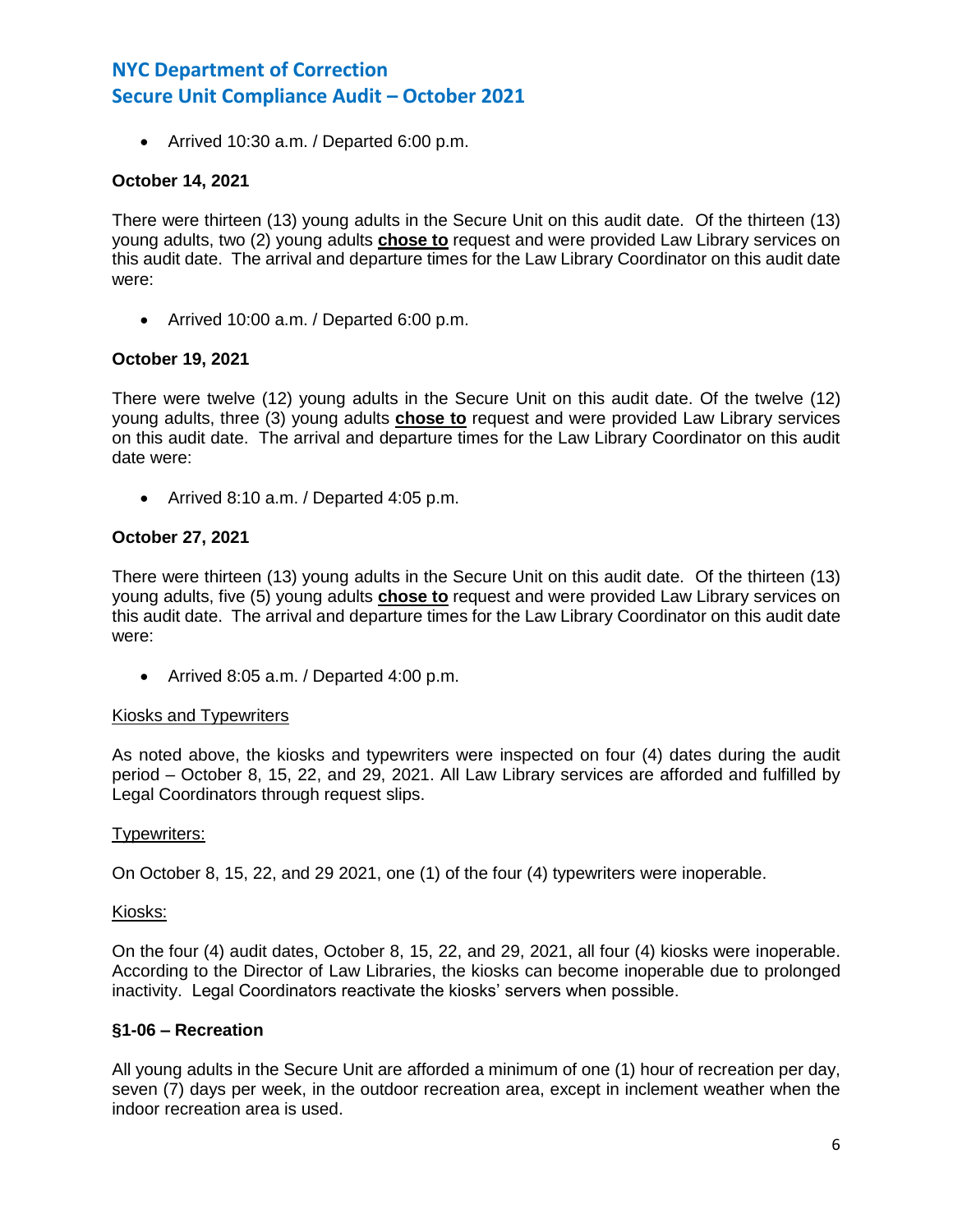• Arrived 10:30 a.m. / Departed 6:00 p.m.

#### **October 14, 2021**

There were thirteen (13) young adults in the Secure Unit on this audit date. Of the thirteen (13) young adults, two (2) young adults **chose to** request and were provided Law Library services on this audit date. The arrival and departure times for the Law Library Coordinator on this audit date were:

• Arrived 10:00 a.m. / Departed 6:00 p.m.

#### **October 19, 2021**

There were twelve (12) young adults in the Secure Unit on this audit date. Of the twelve (12) young adults, three (3) young adults **chose to** request and were provided Law Library services on this audit date. The arrival and departure times for the Law Library Coordinator on this audit date were:

• Arrived 8:10 a.m. / Departed 4:05 p.m.

#### **October 27, 2021**

There were thirteen (13) young adults in the Secure Unit on this audit date. Of the thirteen (13) young adults, five (5) young adults **chose to** request and were provided Law Library services on this audit date. The arrival and departure times for the Law Library Coordinator on this audit date were:

• Arrived 8:05 a.m. / Departed 4:00 p.m.

#### Kiosks and Typewriters

As noted above, the kiosks and typewriters were inspected on four (4) dates during the audit period – October 8, 15, 22, and 29, 2021. All Law Library services are afforded and fulfilled by Legal Coordinators through request slips.

#### Typewriters:

On October 8, 15, 22, and 29 2021, one (1) of the four (4) typewriters were inoperable.

#### Kiosks:

On the four (4) audit dates, October 8, 15, 22, and 29, 2021, all four (4) kiosks were inoperable. According to the Director of Law Libraries, the kiosks can become inoperable due to prolonged inactivity. Legal Coordinators reactivate the kiosks' servers when possible.

#### **§1-06 – Recreation**

All young adults in the Secure Unit are afforded a minimum of one (1) hour of recreation per day, seven (7) days per week, in the outdoor recreation area, except in inclement weather when the indoor recreation area is used.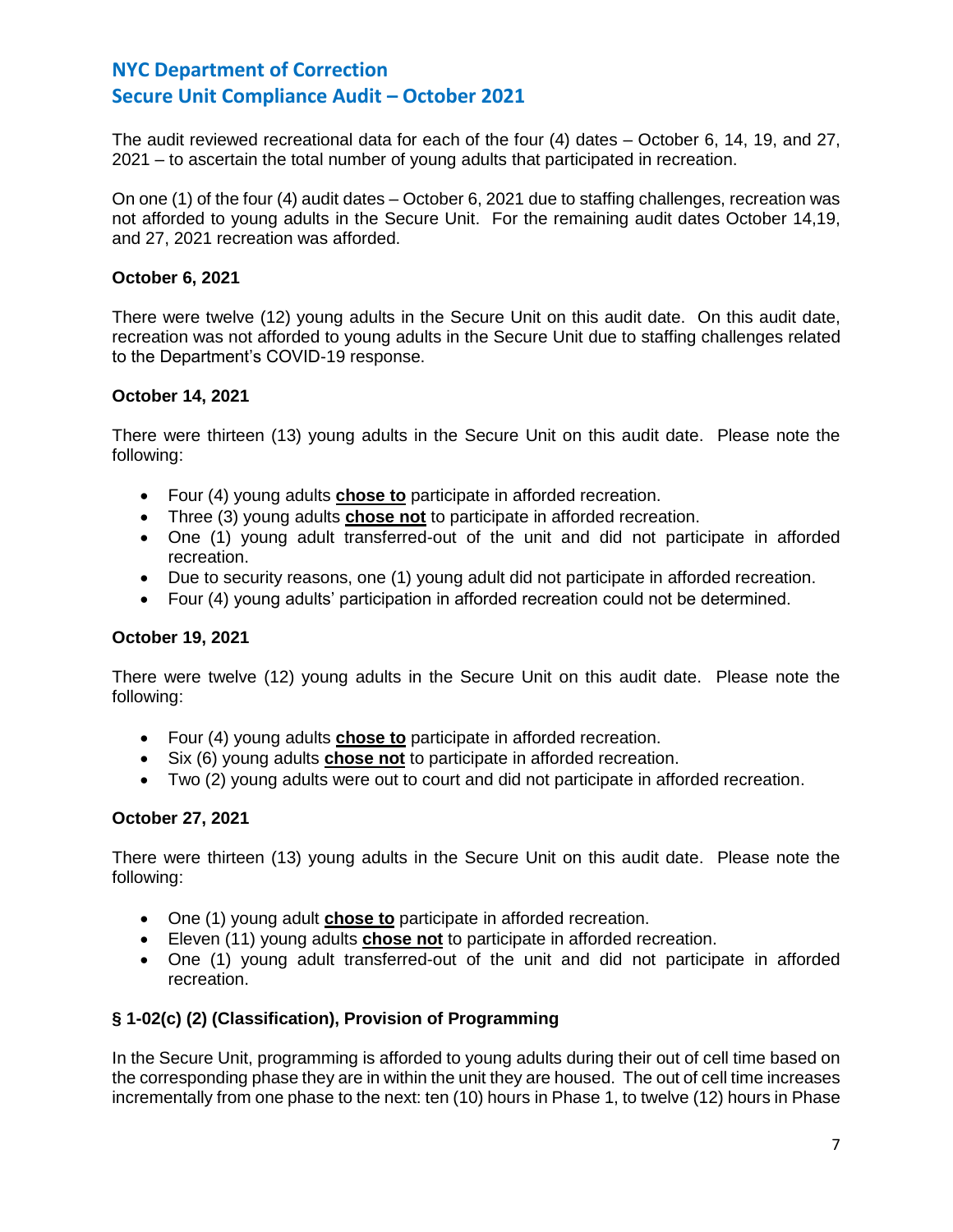The audit reviewed recreational data for each of the four (4) dates – October 6, 14, 19, and 27, 2021 – to ascertain the total number of young adults that participated in recreation.

On one (1) of the four (4) audit dates – October 6, 2021 due to staffing challenges, recreation was not afforded to young adults in the Secure Unit. For the remaining audit dates October 14,19, and 27, 2021 recreation was afforded.

# **October 6, 2021**

There were twelve (12) young adults in the Secure Unit on this audit date. On this audit date, recreation was not afforded to young adults in the Secure Unit due to staffing challenges related to the Department's COVID-19 response.

#### **October 14, 2021**

There were thirteen (13) young adults in the Secure Unit on this audit date. Please note the following:

- Four (4) young adults **chose to** participate in afforded recreation.
- Three (3) young adults **chose not** to participate in afforded recreation.
- One (1) young adult transferred-out of the unit and did not participate in afforded recreation.
- Due to security reasons, one (1) young adult did not participate in afforded recreation.
- Four (4) young adults' participation in afforded recreation could not be determined.

#### **October 19, 2021**

There were twelve (12) young adults in the Secure Unit on this audit date. Please note the following:

- Four (4) young adults **chose to** participate in afforded recreation.
- Six (6) young adults **chose not** to participate in afforded recreation.
- Two (2) young adults were out to court and did not participate in afforded recreation.

#### **October 27, 2021**

There were thirteen (13) young adults in the Secure Unit on this audit date. Please note the following:

- One (1) young adult **chose to** participate in afforded recreation.
- Eleven (11) young adults **chose not** to participate in afforded recreation.
- One (1) young adult transferred-out of the unit and did not participate in afforded recreation.

# **§ 1-02(c) (2) (Classification), Provision of Programming**

In the Secure Unit, programming is afforded to young adults during their out of cell time based on the corresponding phase they are in within the unit they are housed. The out of cell time increases incrementally from one phase to the next: ten (10) hours in Phase 1, to twelve (12) hours in Phase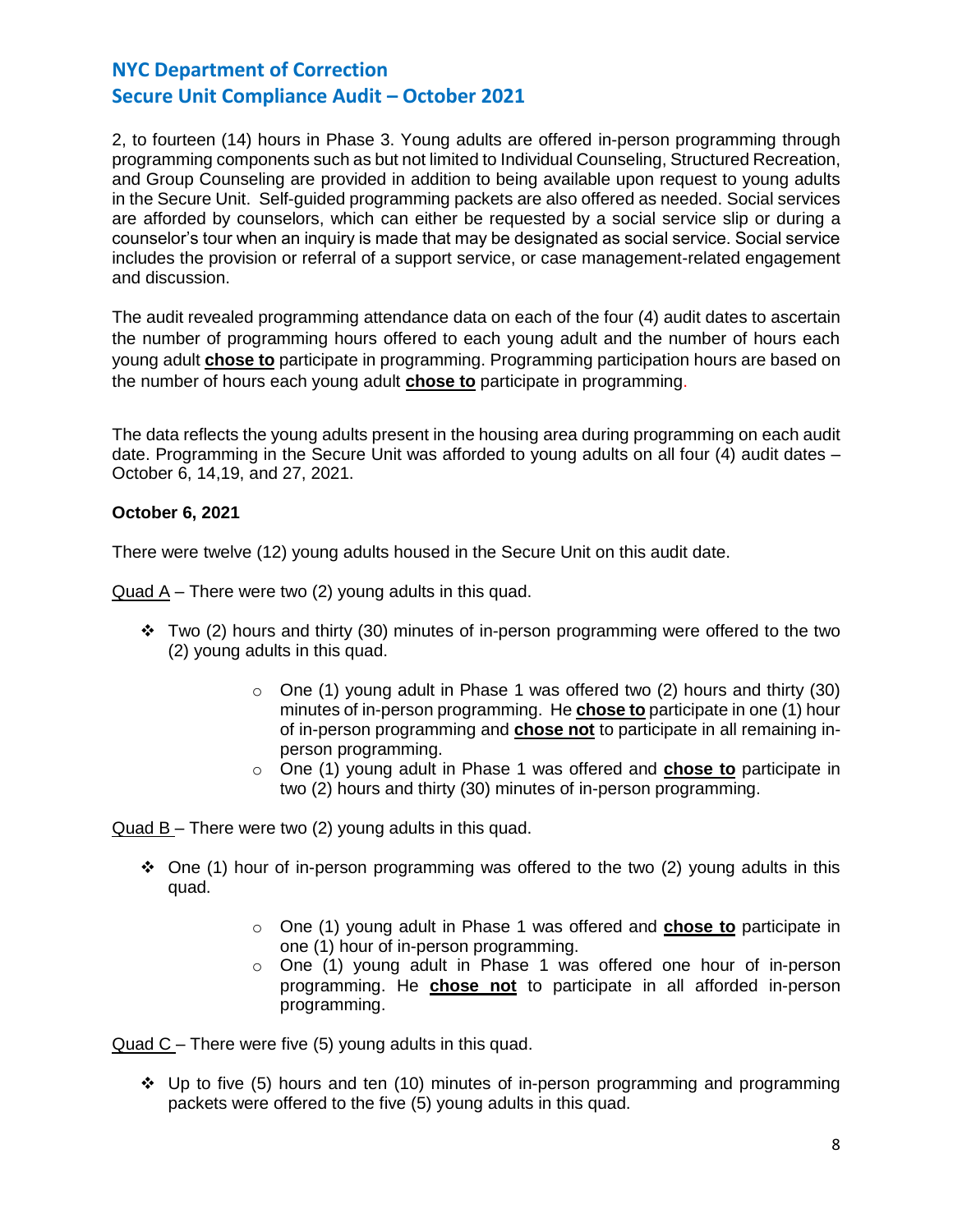2, to fourteen (14) hours in Phase 3. Young adults are offered in-person programming through programming components such as but not limited to Individual Counseling, Structured Recreation, and Group Counseling are provided in addition to being available upon request to young adults in the Secure Unit. Self-guided programming packets are also offered as needed. Social services are afforded by counselors, which can either be requested by a social service slip or during a counselor's tour when an inquiry is made that may be designated as social service. Social service includes the provision or referral of a support service, or case management-related engagement and discussion.

The audit revealed programming attendance data on each of the four (4) audit dates to ascertain the number of programming hours offered to each young adult and the number of hours each young adult **chose to** participate in programming. Programming participation hours are based on the number of hours each young adult **chose to** participate in programming.

The data reflects the young adults present in the housing area during programming on each audit date. Programming in the Secure Unit was afforded to young adults on all four (4) audit dates – October 6, 14,19, and 27, 2021.

# **October 6, 2021**

There were twelve (12) young adults housed in the Secure Unit on this audit date.

Quad A – There were two (2) young adults in this quad.

- $\div$  Two (2) hours and thirty (30) minutes of in-person programming were offered to the two (2) young adults in this quad.
	- $\circ$  One (1) young adult in Phase 1 was offered two (2) hours and thirty (30) minutes of in-person programming. He **chose to** participate in one (1) hour of in-person programming and **chose not** to participate in all remaining inperson programming.
	- o One (1) young adult in Phase 1 was offered and **chose to** participate in two (2) hours and thirty (30) minutes of in-person programming.

Quad B – There were two (2) young adults in this quad.

- $\div$  One (1) hour of in-person programming was offered to the two (2) young adults in this quad.
	- o One (1) young adult in Phase 1 was offered and **chose to** participate in one (1) hour of in-person programming.
	- $\circ$  One (1) young adult in Phase 1 was offered one hour of in-person programming. He **chose not** to participate in all afforded in-person programming.

Quad C – There were five (5) young adults in this quad.

❖ Up to five (5) hours and ten (10) minutes of in-person programming and programming packets were offered to the five (5) young adults in this quad.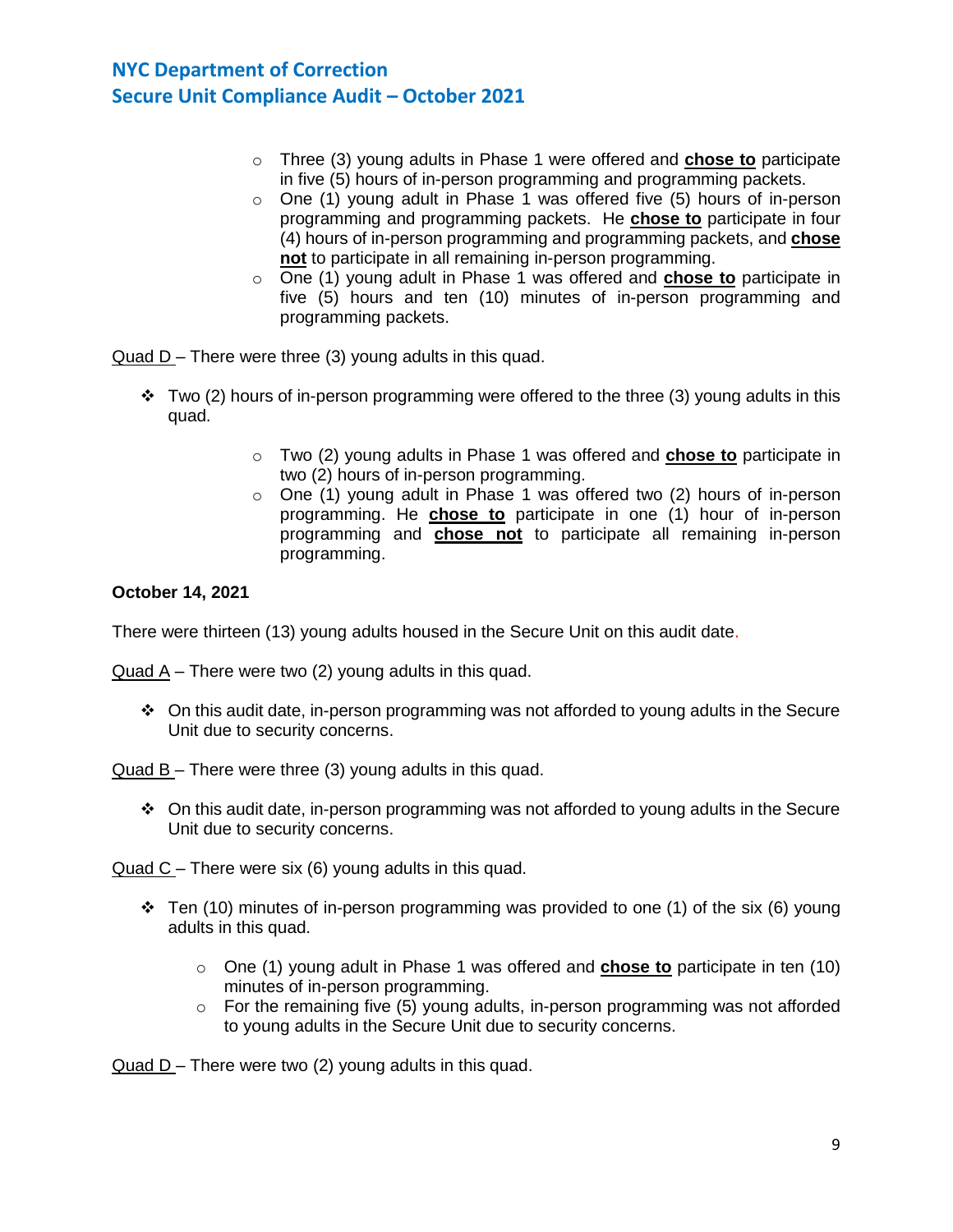- o Three (3) young adults in Phase 1 were offered and **chose to** participate in five (5) hours of in-person programming and programming packets.
- o One (1) young adult in Phase 1 was offered five (5) hours of in-person programming and programming packets. He **chose to** participate in four (4) hours of in-person programming and programming packets, and **chose not** to participate in all remaining in-person programming.
- o One (1) young adult in Phase 1 was offered and **chose to** participate in five (5) hours and ten (10) minutes of in-person programming and programming packets.

Quad D – There were three (3) young adults in this quad.

- $\div$  Two (2) hours of in-person programming were offered to the three (3) young adults in this quad.
	- o Two (2) young adults in Phase 1 was offered and **chose to** participate in two (2) hours of in-person programming.
	- $\circ$  One (1) young adult in Phase 1 was offered two (2) hours of in-person programming. He **chose to** participate in one (1) hour of in-person programming and **chose not** to participate all remaining in-person programming.

# **October 14, 2021**

There were thirteen (13) young adults housed in the Secure Unit on this audit date.

Quad A – There were two (2) young adults in this quad.

❖ On this audit date, in-person programming was not afforded to young adults in the Secure Unit due to security concerns.

Quad  $B$  – There were three (3) young adults in this quad.

❖ On this audit date, in-person programming was not afforded to young adults in the Secure Unit due to security concerns.

Quad C – There were six (6) young adults in this quad.

- $\div$  Ten (10) minutes of in-person programming was provided to one (1) of the six (6) young adults in this quad.
	- o One (1) young adult in Phase 1 was offered and **chose to** participate in ten (10) minutes of in-person programming.
	- $\circ$  For the remaining five (5) young adults, in-person programming was not afforded to young adults in the Secure Unit due to security concerns.

Quad D – There were two (2) young adults in this quad.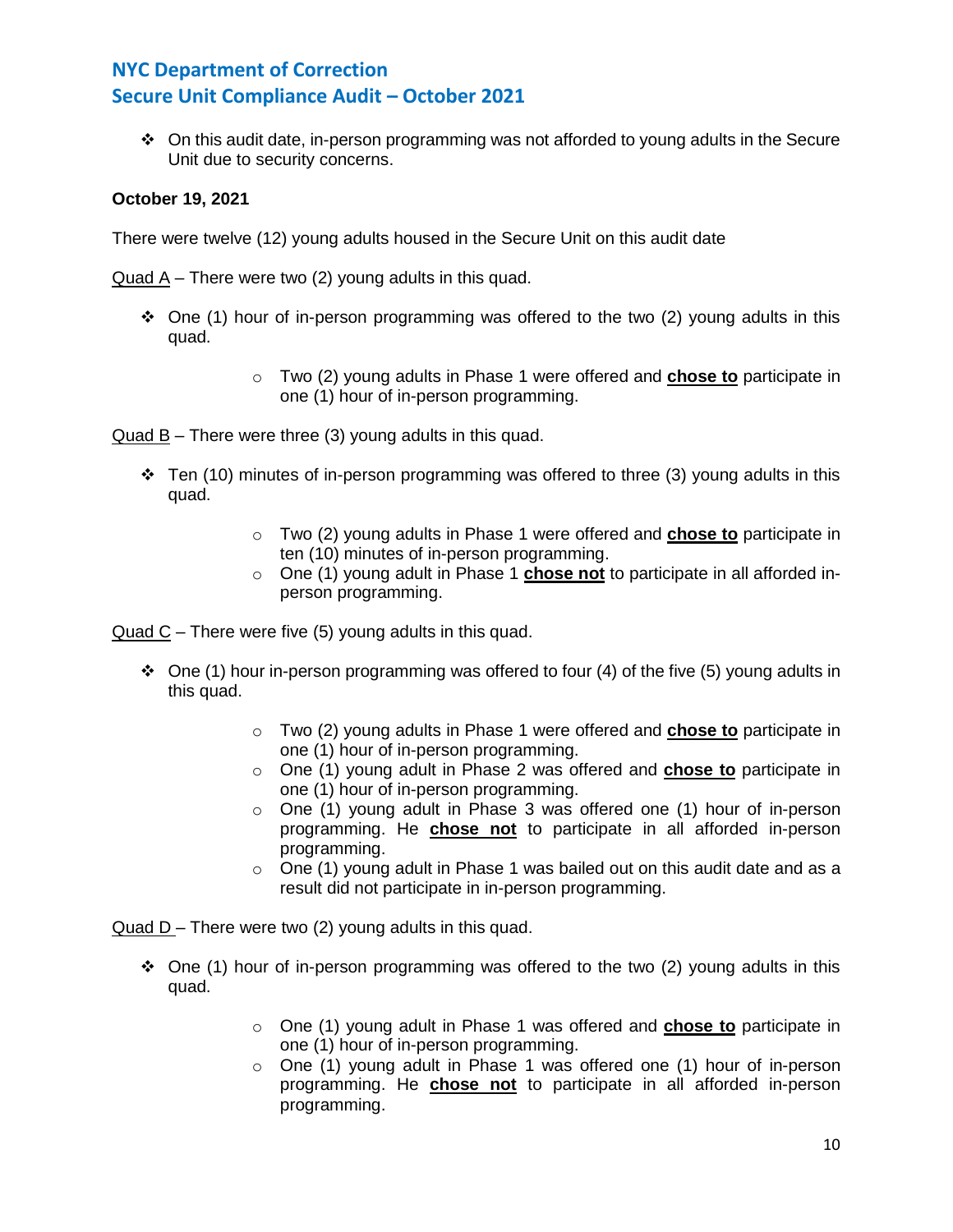❖ On this audit date, in-person programming was not afforded to young adults in the Secure Unit due to security concerns.

### **October 19, 2021**

There were twelve (12) young adults housed in the Secure Unit on this audit date

Quad A – There were two (2) young adults in this quad.

- $\div$  One (1) hour of in-person programming was offered to the two (2) young adults in this quad.
	- o Two (2) young adults in Phase 1 were offered and **chose to** participate in one (1) hour of in-person programming.

Quad B – There were three (3) young adults in this quad.

- $\div$  Ten (10) minutes of in-person programming was offered to three (3) young adults in this quad.
	- o Two (2) young adults in Phase 1 were offered and **chose to** participate in ten (10) minutes of in-person programming.
	- o One (1) young adult in Phase 1 **chose not** to participate in all afforded inperson programming.

Quad C – There were five (5) young adults in this quad.

- $\div$  One (1) hour in-person programming was offered to four (4) of the five (5) young adults in this quad.
	- o Two (2) young adults in Phase 1 were offered and **chose to** participate in one (1) hour of in-person programming.
	- o One (1) young adult in Phase 2 was offered and **chose to** participate in one (1) hour of in-person programming.
	- $\circ$  One (1) young adult in Phase 3 was offered one (1) hour of in-person programming. He **chose not** to participate in all afforded in-person programming.
	- $\circ$  One (1) young adult in Phase 1 was bailed out on this audit date and as a result did not participate in in-person programming.

Quad D – There were two (2) young adults in this quad.

- ❖ One (1) hour of in-person programming was offered to the two (2) young adults in this quad.
	- o One (1) young adult in Phase 1 was offered and **chose to** participate in one (1) hour of in-person programming.
	- $\circ$  One (1) young adult in Phase 1 was offered one (1) hour of in-person programming. He **chose not** to participate in all afforded in-person programming.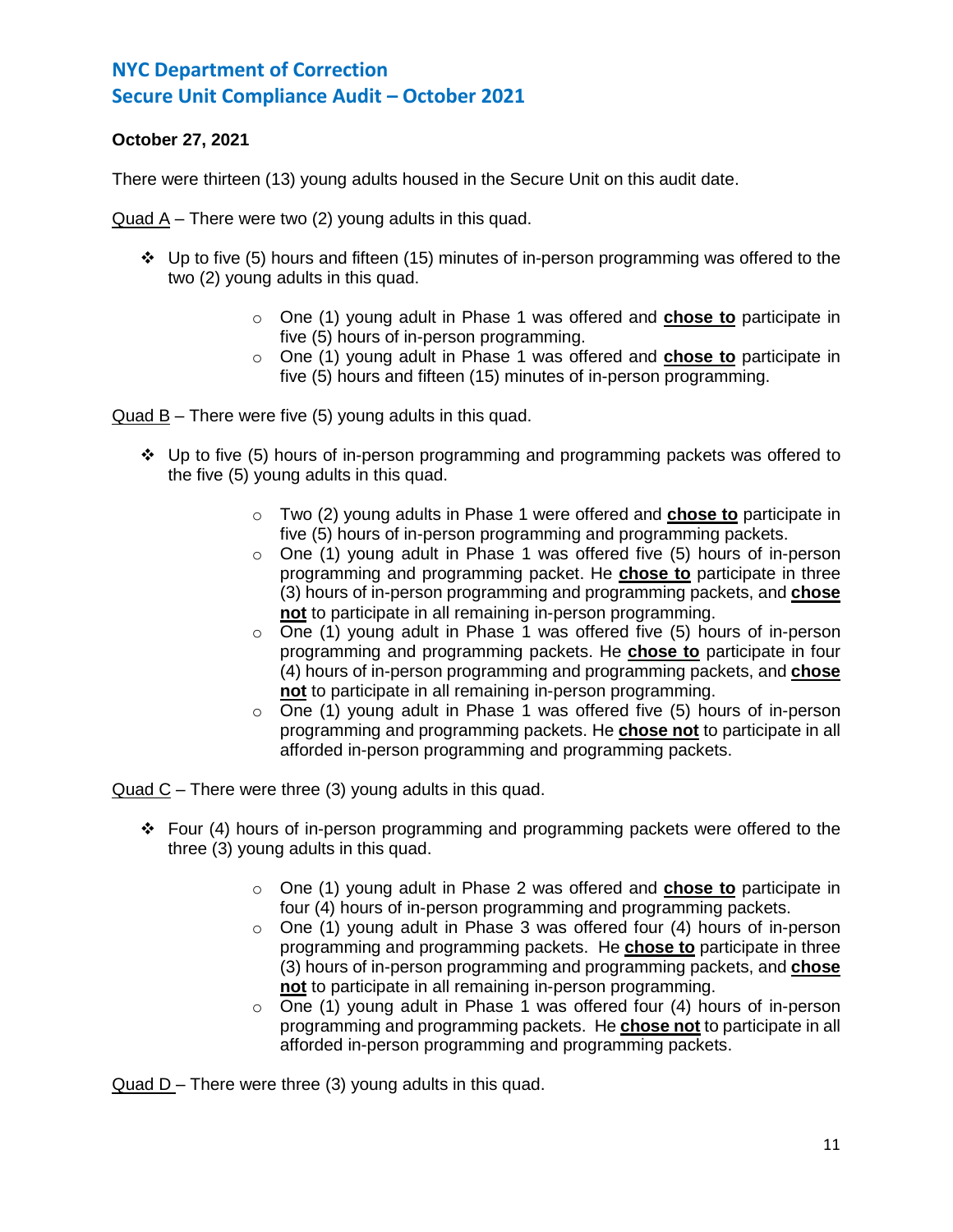# **October 27, 2021**

There were thirteen (13) young adults housed in the Secure Unit on this audit date.

Quad A – There were two (2) young adults in this quad.

- ❖ Up to five (5) hours and fifteen (15) minutes of in-person programming was offered to the two (2) young adults in this quad.
	- o One (1) young adult in Phase 1 was offered and **chose to** participate in five (5) hours of in-person programming.
	- o One (1) young adult in Phase 1 was offered and **chose to** participate in five (5) hours and fifteen (15) minutes of in-person programming.

Quad B – There were five (5) young adults in this quad.

- $\div$  Up to five (5) hours of in-person programming and programming packets was offered to the five (5) young adults in this quad.
	- o Two (2) young adults in Phase 1 were offered and **chose to** participate in five (5) hours of in-person programming and programming packets.
	- $\circ$  One (1) young adult in Phase 1 was offered five (5) hours of in-person programming and programming packet. He **chose to** participate in three (3) hours of in-person programming and programming packets, and **chose not** to participate in all remaining in-person programming.
	- $\circ$  One (1) young adult in Phase 1 was offered five (5) hours of in-person programming and programming packets. He **chose to** participate in four (4) hours of in-person programming and programming packets, and **chose not** to participate in all remaining in-person programming.
	- o One (1) young adult in Phase 1 was offered five (5) hours of in-person programming and programming packets. He **chose not** to participate in all afforded in-person programming and programming packets.

Quad C – There were three (3) young adults in this quad.

- ❖ Four (4) hours of in-person programming and programming packets were offered to the three (3) young adults in this quad.
	- o One (1) young adult in Phase 2 was offered and **chose to** participate in four (4) hours of in-person programming and programming packets.
	- $\circ$  One (1) young adult in Phase 3 was offered four (4) hours of in-person programming and programming packets. He **chose to** participate in three (3) hours of in-person programming and programming packets, and **chose not** to participate in all remaining in-person programming.
	- $\circ$  One (1) young adult in Phase 1 was offered four (4) hours of in-person programming and programming packets. He **chose not** to participate in all afforded in-person programming and programming packets.

Quad  $D$  – There were three (3) young adults in this quad.